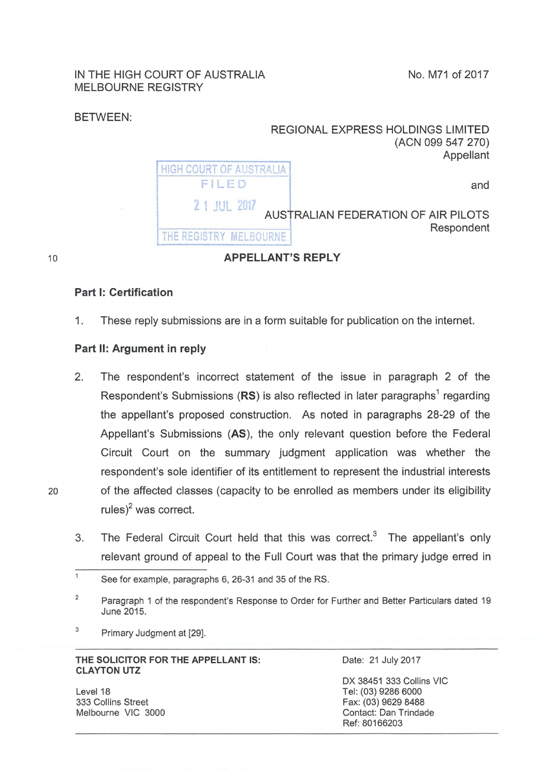## IN THE HIGH COURT OF AUSTRALIA MELBOURNE REGISTRY

No. M71 of 2017

## BETWEEN:

| REGIONAL EXPRESS HOLDINGS LIMITED<br>(ACN 099 547 270)<br>Appellant |                                         |  |  |
|---------------------------------------------------------------------|-----------------------------------------|--|--|
| and                                                                 | <b>HIGH COURT OF AUSTRALIA</b><br>FILED |  |  |
| AUSTRALIAN FEDERATION OF AIR PILOTS<br>Respondent                   | 2 1 JUL 2017<br>THE REGISTRY MELBOURNE  |  |  |

10

## Part 1: Certification

1. These reply submissions are in a form suitable for publication on the internet.

APPELLANT'S REPLY

## Part 11: Argument in reply

- 2. The respondent's incorrect statement of the issue in paragraph 2 of the Respondent's Submissions ( $RS$ ) is also reflected in later paragraphs<sup>1</sup> regarding the appellant's proposed construction. As noted in paragraphs 28-29 of the Appellant's Submissions (AS), the only relevant question before the Federal Circuit Court on the summary judgment application was whether the respondent's sole identifier of its entitlement to represent the industrial interests 20 of the affected classes (capacity to be enrolled as members under its eligibility rules)<sup>2</sup> was correct.
	- 3. The Federal Circuit Court held that this was correct.<sup>3</sup> The appellant's only relevant ground of appeal to the Full Court was that the primary judge erred in

 $3$  Primary Judgment at [29].

THE SOLICITOR FOR THE APPELLANT IS: CLAYTON UTZ

Level 18 333 Collins Street Melbourne VIC 3000 Date: 21 July 2017

OX 38451 333 Collins VIC Tel: (03) 9286 6000 Fax: (03) 9629 8488 Contact: Dan Trindade Ref: 80166203

 $\mathbf{1}$ See for example, paragraphs 6, 26-31 and 35 of the RS.

<sup>&</sup>lt;sup>2</sup> Paragraph 1 of the respondent's Response to Order for Further and Better Particulars dated 19 June 2015.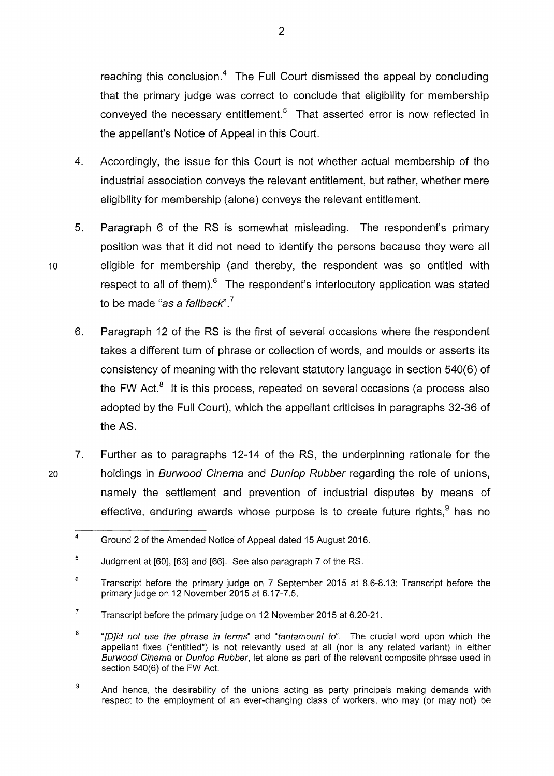reaching this conclusion.<sup>4</sup> The Full Court dismissed the appeal by concluding that the primary judge was correct to conclude that eligibility for membership conveyed the necessary entitlement.<sup>5</sup> That asserted error is now reflected in the appellant's Notice of Appeal in this Court.

- 4. Accordingly, the issue for this Court is not whether actual membership of the industrial association conveys the relevant entitlement, but rather, whether mere eligibility for membership (alone) conveys the relevant entitlement.
- 5. Paragraph 6 of the RS is somewhat misleading. The respondent's primary position was that it did not need to identify the persons because they were all 10 eligible for membership (and thereby, the respondent was so entitled with respect to all of them). $6$  The respondent's interlocutory application was stated to be made "as a fallback".<sup>7</sup>
	- 6. Paragraph 12 of the RS is the first of several occasions where the respondent takes a different turn of phrase or collection of words, and moulds or asserts its consistency of meaning with the relevant statutory language in section 540(6) of the FW Act. $8$  It is this process, repeated on several occasions (a process also adopted by the Full Court), which the appellant criticises in paragraphs 32-36 of the AS.
- 7. Further as to paragraphs 12-14 of the RS, the underpinning rationale for the 20 holdings in Burwood Cinema and Dun/op Rubber regarding the role of unions, namely the settlement and prevention of industrial disputes by means of effective, enduring awards whose purpose is to create future rights,  $9$  has no

 $\overline{4}$ Ground 2 of the Amended Notice of Appeal dated 15 August 2016.

<sup>5</sup>  Judgment at [60], [63] and [66]. See also paragraph 7 of the RS.

<sup>6</sup>  Transcript before the primary judge on 7 September 2015 at 8.6-8.13; Transcript before the primary judge on 12 November 2015 at 6.17-7.5.

<sup>7</sup>  Transcript before the primary judge on 12 November 2015 at 6.20-21.

<sup>8</sup>  "[D]id not use the phrase in terms" and "tantamount to". The crucial word upon which the appellant fixes ("entitled") is not relevantly used at all (nor is any related variant) in either Burwood Cinema or Dun/op Rubber, let alone as part of the relevant composite phrase used in section 540(6) of the FW Act.

<sup>9</sup>  And hence, the desirability of the unions acting as party principals making demands with respect to the employment of an ever-changing class of workers, who may (or may not) be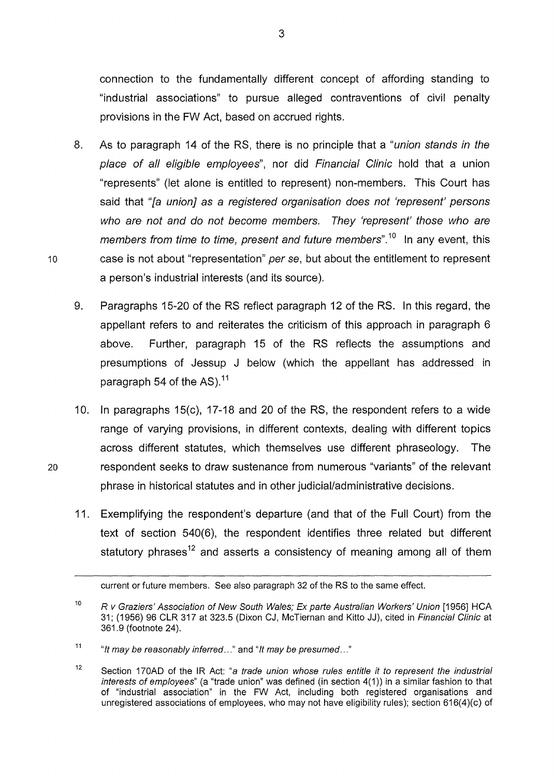connection to the fundamentally different concept of affording standing to "industrial associations" to pursue alleged contraventions of civil penalty provisions in the FW Act, based on accrued rights.

- 8. As to paragraph 14 of the RS, there is no principle that a "union stands in the place of all eligible employees", nor did Financial Clinic hold that a union "represents" (let alone is entitled to represent) non-members. This Court has said that "[a union] as a registered organisation does not 'represent' persons who are not and do not become members. They 'represent' those who are members from time to time, present and future members".<sup>10</sup> In any event, this 10 case is not about "representation" per se, but about the entitlement to represent a person's industrial interests (and its source).
	- 9. Paragraphs 15-20 of the RS reflect paragraph 12 of the RS. In this regard, the appellant refers to and reiterates the criticism of this approach in paragraph 6 above. Further, paragraph 15 of the RS reflects the assumptions and presumptions of Jessup J below (which the appellant has addressed in paragraph 54 of the AS).<sup>11</sup>
- 10. In paragraphs 15(c), 17-18 and 20 of the RS, the respondent refers to a wide range of varying provisions, in different contexts, dealing with different topics across different statutes, which themselves use different phraseology. The 20 respondent seeks to draw sustenance from numerous "variants" of the relevant phrase in historical statutes and in other judicial/administrative decisions.
	- 11. Exemplifying the respondent's departure (and that of the Full Court) from the text of section 540(6), the respondent identifies three related but different statutory phrases<sup>12</sup> and asserts a consistency of meaning among all of them

current or future members. See also paragraph 32 of the RS to the same effect.

<sup>10</sup>  R *v* Graziers' Association of New South Wales; Ex parte Australian Workers' Union [1956] HCA 31; (1956) 96 CLR 317 at 323.5 (Dixon CJ, McTiernan and Kitto JJ), cited in Financial Clinic at 361.9 (footnote 24).

<sup>11</sup>  "It may be reasonably inferred..." and "It may be presumed..."

<sup>12</sup>  Section 170AD of the IR Act: "a trade union whose rules entitle it to represent the industrial interests of employees" (a "trade union" was defined (in section 4(1)) in a similar fashion to that of "industrial association" in the FW Act, including both registered organisations and unregistered associations of employees, who may not have eligibility rules); section 616(4)(c) of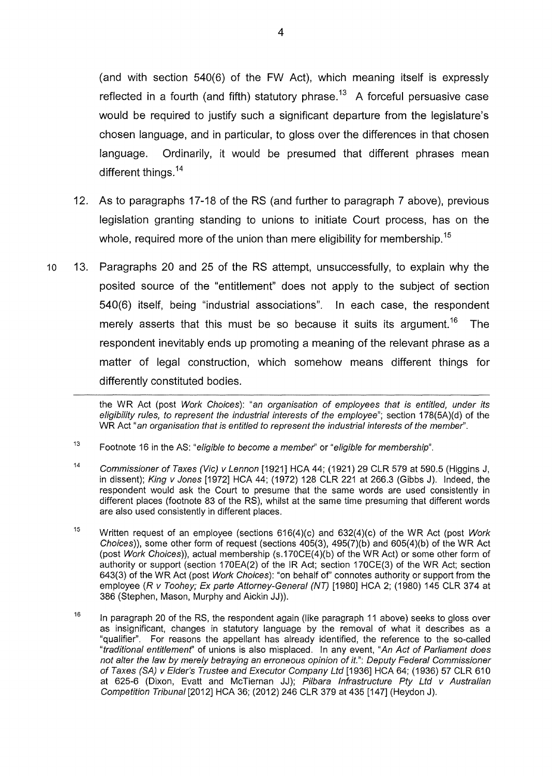(and with section 540(6) of the FW Act), which meaning itself is expressly reflected in a fourth (and fifth) statutory phrase.<sup>13</sup> A forceful persuasive case would be required to justify such a significant departure from the legislature's chosen language, and in particular, to gloss over the differences in that chosen language. Ordinarily, it would be presumed that different phrases mean different things.<sup>14</sup>

- 12. As to paragraphs 17-18 of the RS (and further to paragraph 7 above), previous legislation granting standing to unions to initiate Court process, has on the whole, required more of the union than mere eligibility for membership.<sup>15</sup>
- 10 13. Paragraphs 20 and 25 of the RS attempt, unsuccessfully, to explain why the posited source of the "entitlement" does not apply to the subject of section 540(6) itself, being "industrial associations". In each case, the respondent merely asserts that this must be so because it suits its argument.<sup>16</sup> The respondent inevitably ends up promoting a meaning of the relevant phrase as a matter of legal construction, which somehow means different things for differently constituted bodies.

the WR Act (post Work Choices): "an organisation of employees that is entitled, under its eligibility rules, to represent the industrial interests of the employee"; section 178(5A)(d) of the WR Act "an organisation that is entitled to represent the industrial interests of the member".

- 13 Footnote 16 in the AS: "eligible to become a member' or "eligible for membership".
- 14 Commissioner of Taxes (Vie) v Lennon [1921] HCA 44; (1921) 29 CLR 579 at 590.5 (Higgins J, in dissent); King v Jones [1972] HCA 44; (1972) 128 CLR 221 at 266.3 (Gibbs J). Indeed, the respondent would ask the Court to presume that the same words are used consistently in different places (footnote 83 of the RS), whilst at the same time presuming that different words are also used consistently in different places.
- 15 Written request of an employee (sections 616(4)(c) and 632(4)(c) of the WR Act (post Work Choices)), some other form of request (sections 405(3), 495(7)(b) and 605(4)(b) of the WR Act (post Work Choices)), actual membership (s.170CE(4)(b) of the WR Act) or some other form of authority or support (section 170EA(2) of the IR Act; section 170CE(3) of the WR Act; section 643(3) of the WR Act (post Work Choices): "on behalf of' connotes authority or support from the employee (R v Toohey; Ex parte Attorney-General (NT) [1980] HCA 2; (1980) 145 CLR 374 at 386 (Stephen, Mason, Murphy and Aickin JJ)).
- 16 In paragraph 20 of the RS, the respondent again (like paragraph 11 above) seeks to gloss over as insignificant, changes in statutory language by the removal of what it describes as a "qualifier". For reasons the appellant has already identified, the reference to the so-called "traditional entitlemenf' of unions is also misplaced. In any event, "An Act of Parliament does not alter the law by merely betraying an erroneous opinion of it.": Deputy Federal Commissioner of Taxes (SA) v Elder's Trustee and Executor Company Ltd [1936] HCA 64; (1936) 57 CLR 610 at 625-6 (Dixon, Evatt and McTiernan JJ); Pilbara Infrastructure Pty Ltd v Australian Competition Tribunal [2012] HCA 36; (2012) 246 CLR 379 at 435 [147] (Heydon J).